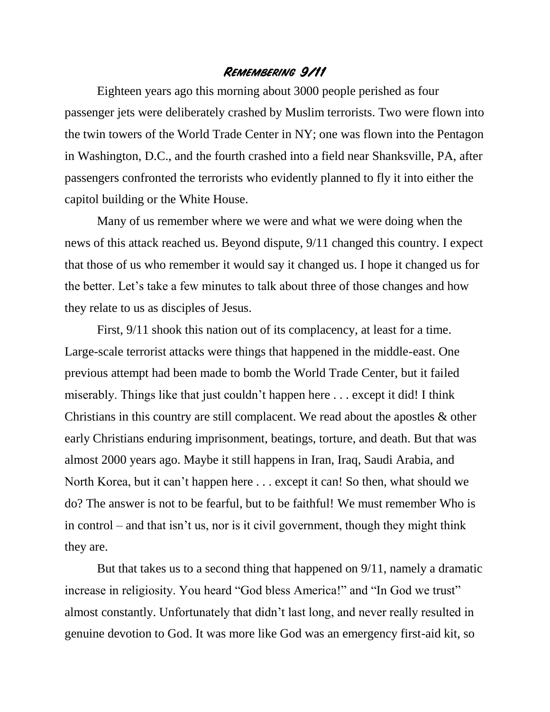## **Remembering 9/11**

Eighteen years ago this morning about 3000 people perished as four passenger jets were deliberately crashed by Muslim terrorists. Two were flown into the twin towers of the World Trade Center in NY; one was flown into the Pentagon in Washington, D.C., and the fourth crashed into a field near Shanksville, PA, after passengers confronted the terrorists who evidently planned to fly it into either the capitol building or the White House.

Many of us remember where we were and what we were doing when the news of this attack reached us. Beyond dispute, 9/11 changed this country. I expect that those of us who remember it would say it changed us. I hope it changed us for the better. Let's take a few minutes to talk about three of those changes and how they relate to us as disciples of Jesus.

First,  $9/11$  shook this nation out of its complacency, at least for a time. Large-scale terrorist attacks were things that happened in the middle-east. One previous attempt had been made to bomb the World Trade Center, but it failed miserably. Things like that just couldn't happen here . . . except it did! I think Christians in this country are still complacent. We read about the apostles & other early Christians enduring imprisonment, beatings, torture, and death. But that was almost 2000 years ago. Maybe it still happens in Iran, Iraq, Saudi Arabia, and North Korea, but it can't happen here . . . except it can! So then, what should we do? The answer is not to be fearful, but to be faithful! We must remember Who is in control – and that isn't us, nor is it civil government, though they might think they are.

But that takes us to a second thing that happened on 9/11, namely a dramatic increase in religiosity. You heard "God bless America!" and "In God we trust" almost constantly. Unfortunately that didn't last long, and never really resulted in genuine devotion to God. It was more like God was an emergency first-aid kit, so